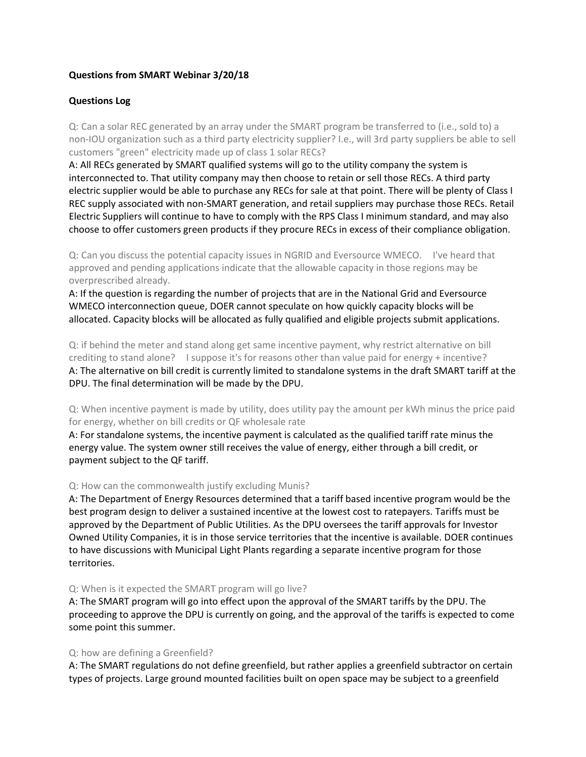# **Questions from SMART Webinar 3/20/18**

# **Questions Log**

Q: Can a solar REC generated by an array under the SMART program be transferred to (i.e., sold to) a non-IOU organization such as a third party electricity supplier? I.e., will 3rd party suppliers be able to sell customers "green" electricity made up of class 1 solar RECs?

A: All RECs generated by SMART qualified systems will go to the utility company the system is interconnected to. That utility company may then choose to retain or sell those RECs. A third party electric supplier would be able to purchase any RECs for sale at that point. There will be plenty of Class I REC supply associated with non-SMART generation, and retail suppliers may purchase those RECs. Retail Electric Suppliers will continue to have to comply with the RPS Class I minimum standard, and may also choose to offer customers green products if they procure RECs in excess of their compliance obligation.

Q: Can you discuss the potential capacity issues in NGRID and Eversource WMECO. I've heard that approved and pending applications indicate that the allowable capacity in those regions may be overprescribed already.

A: If the question is regarding the number of projects that are in the National Grid and Eversource WMECO interconnection queue, DOER cannot speculate on how quickly capacity blocks will be allocated. Capacity blocks will be allocated as fully qualified and eligible projects submit applications.

Q: if behind the meter and stand along get same incentive payment, why restrict alternative on bill crediting to stand alone? I suppose it's for reasons other than value paid for energy + incentive? A: The alternative on bill credit is currently limited to standalone systems in the draft SMART tariff at the DPU. The final determination will be made by the DPU.

Q: When incentive payment is made by utility, does utility pay the amount per kWh minus the price paid for energy, whether on bill credits or QF wholesale rate

A: For standalone systems, the incentive payment is calculated as the qualified tariff rate minus the energy value. The system owner still receives the value of energy, either through a bill credit, or payment subject to the QF tariff.

# Q: How can the commonwealth justify excluding Munis?

A: The Department of Energy Resources determined that a tariff based incentive program would be the best program design to deliver a sustained incentive at the lowest cost to ratepayers. Tariffs must be approved by the Department of Public Utilities. As the DPU oversees the tariff approvals for Investor Owned Utility Companies, it is in those service territories that the incentive is available. DOER continues to have discussions with Municipal Light Plants regarding a separate incentive program for those territories.

### Q: When is it expected the SMART program will go live?

A: The SMART program will go into effect upon the approval of the SMART tariffs by the DPU. The proceeding to approve the DPU is currently on going, and the approval of the tariffs is expected to come some point this summer.

### Q: how are defining a Greenfield?

A: The SMART regulations do not define greenfield, but rather applies a greenfield subtractor on certain types of projects. Large ground mounted facilities built on open space may be subject to a greenfield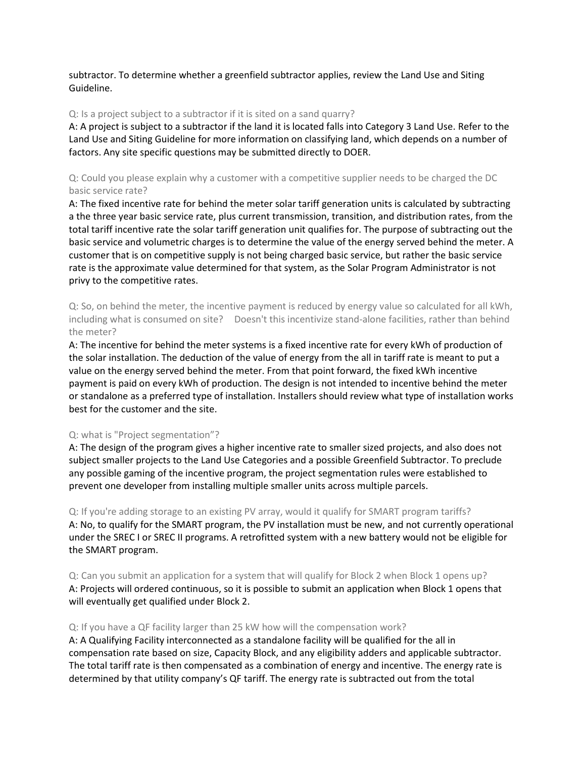subtractor. To determine whether a greenfield subtractor applies, review the Land Use and Siting Guideline.

## Q: Is a project subject to a subtractor if it is sited on a sand quarry?

A: A project is subject to a subtractor if the land it is located falls into Category 3 Land Use. Refer to the Land Use and Siting Guideline for more information on classifying land, which depends on a number of factors. Any site specific questions may be submitted directly to DOER.

Q: Could you please explain why a customer with a competitive supplier needs to be charged the DC basic service rate?

A: The fixed incentive rate for behind the meter solar tariff generation units is calculated by subtracting a the three year basic service rate, plus current transmission, transition, and distribution rates, from the total tariff incentive rate the solar tariff generation unit qualifies for. The purpose of subtracting out the basic service and volumetric charges is to determine the value of the energy served behind the meter. A customer that is on competitive supply is not being charged basic service, but rather the basic service rate is the approximate value determined for that system, as the Solar Program Administrator is not privy to the competitive rates.

Q: So, on behind the meter, the incentive payment is reduced by energy value so calculated for all kWh, including what is consumed on site? Doesn't this incentivize stand-alone facilities, rather than behind the meter?

A: The incentive for behind the meter systems is a fixed incentive rate for every kWh of production of the solar installation. The deduction of the value of energy from the all in tariff rate is meant to put a value on the energy served behind the meter. From that point forward, the fixed kWh incentive payment is paid on every kWh of production. The design is not intended to incentive behind the meter or standalone as a preferred type of installation. Installers should review what type of installation works best for the customer and the site.

# Q: what is "Project segmentation"?

A: The design of the program gives a higher incentive rate to smaller sized projects, and also does not subject smaller projects to the Land Use Categories and a possible Greenfield Subtractor. To preclude any possible gaming of the incentive program, the project segmentation rules were established to prevent one developer from installing multiple smaller units across multiple parcels.

Q: If you're adding storage to an existing PV array, would it qualify for SMART program tariffs? A: No, to qualify for the SMART program, the PV installation must be new, and not currently operational under the SREC I or SREC II programs. A retrofitted system with a new battery would not be eligible for the SMART program.

Q: Can you submit an application for a system that will qualify for Block 2 when Block 1 opens up? A: Projects will ordered continuous, so it is possible to submit an application when Block 1 opens that will eventually get qualified under Block 2.

### Q: If you have a QF facility larger than 25 kW how will the compensation work?

A: A Qualifying Facility interconnected as a standalone facility will be qualified for the all in compensation rate based on size, Capacity Block, and any eligibility adders and applicable subtractor. The total tariff rate is then compensated as a combination of energy and incentive. The energy rate is determined by that utility company's QF tariff. The energy rate is subtracted out from the total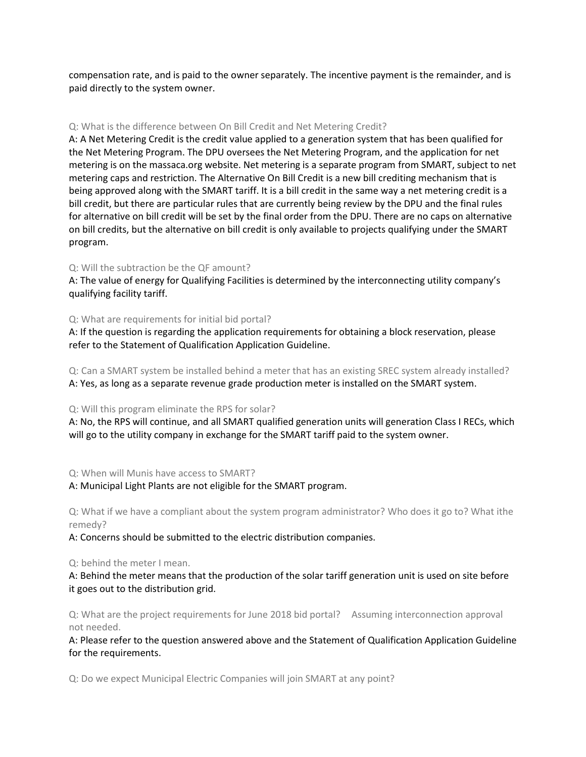compensation rate, and is paid to the owner separately. The incentive payment is the remainder, and is paid directly to the system owner.

## Q: What is the difference between On Bill Credit and Net Metering Credit?

A: A Net Metering Credit is the credit value applied to a generation system that has been qualified for the Net Metering Program. The DPU oversees the Net Metering Program, and the application for net metering is on the massaca.org website. Net metering is a separate program from SMART, subject to net metering caps and restriction. The Alternative On Bill Credit is a new bill crediting mechanism that is being approved along with the SMART tariff. It is a bill credit in the same way a net metering credit is a bill credit, but there are particular rules that are currently being review by the DPU and the final rules for alternative on bill credit will be set by the final order from the DPU. There are no caps on alternative on bill credits, but the alternative on bill credit is only available to projects qualifying under the SMART program.

# Q: Will the subtraction be the QF amount?

A: The value of energy for Qualifying Facilities is determined by the interconnecting utility company's qualifying facility tariff.

## Q: What are requirements for initial bid portal?

A: If the question is regarding the application requirements for obtaining a block reservation, please refer to the Statement of Qualification Application Guideline.

Q: Can a SMART system be installed behind a meter that has an existing SREC system already installed? A: Yes, as long as a separate revenue grade production meter is installed on the SMART system.

### Q: Will this program eliminate the RPS for solar?

A: No, the RPS will continue, and all SMART qualified generation units will generation Class I RECs, which will go to the utility company in exchange for the SMART tariff paid to the system owner.

Q: When will Munis have access to SMART?

# A: Municipal Light Plants are not eligible for the SMART program.

Q: What if we have a compliant about the system program administrator? Who does it go to? What ithe remedy?

A: Concerns should be submitted to the electric distribution companies.

Q: behind the meter I mean.

A: Behind the meter means that the production of the solar tariff generation unit is used on site before it goes out to the distribution grid.

Q: What are the project requirements for June 2018 bid portal? Assuming interconnection approval not needed.

A: Please refer to the question answered above and the Statement of Qualification Application Guideline for the requirements.

Q: Do we expect Municipal Electric Companies will join SMART at any point?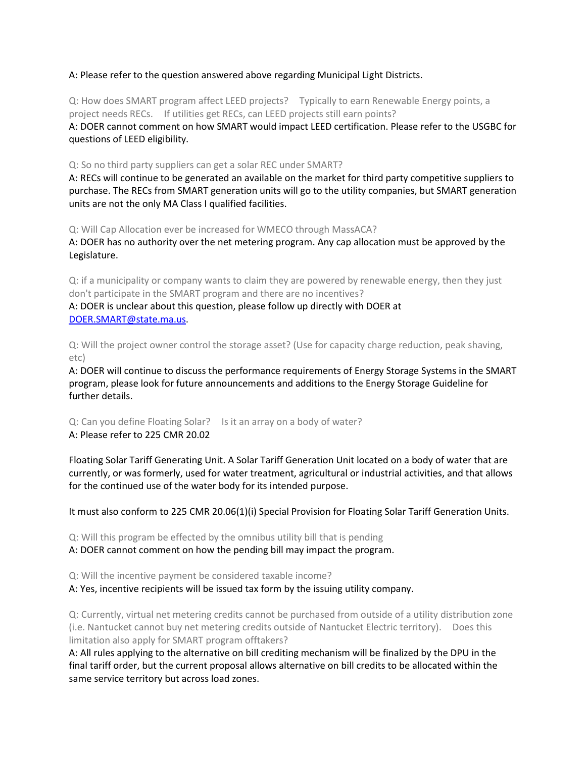# A: Please refer to the question answered above regarding Municipal Light Districts.

Q: How does SMART program affect LEED projects? Typically to earn Renewable Energy points, a project needs RECs. If utilities get RECs, can LEED projects still earn points? A: DOER cannot comment on how SMART would impact LEED certification. Please refer to the USGBC for questions of LEED eligibility.

Q: So no third party suppliers can get a solar REC under SMART?

A: RECs will continue to be generated an available on the market for third party competitive suppliers to purchase. The RECs from SMART generation units will go to the utility companies, but SMART generation units are not the only MA Class I qualified facilities.

Q: Will Cap Allocation ever be increased for WMECO through MassACA?

A: DOER has no authority over the net metering program. Any cap allocation must be approved by the Legislature.

Q: if a municipality or company wants to claim they are powered by renewable energy, then they just don't participate in the SMART program and there are no incentives?

A: DOER is unclear about this question, please follow up directly with DOER at [DOER.SMART@state.ma.us.](mailto:DOER.SMART@state.ma.us)

Q: Will the project owner control the storage asset? (Use for capacity charge reduction, peak shaving, etc)

A: DOER will continue to discuss the performance requirements of Energy Storage Systems in the SMART program, please look for future announcements and additions to the Energy Storage Guideline for further details.

Q: Can you define Floating Solar? Is it an array on a body of water? A: Please refer to 225 CMR 20.02

Floating Solar Tariff Generating Unit. A Solar Tariff Generation Unit located on a body of water that are currently, or was formerly, used for water treatment, agricultural or industrial activities, and that allows for the continued use of the water body for its intended purpose.

It must also conform to 225 CMR 20.06(1)(i) Special Provision for Floating Solar Tariff Generation Units.

Q: Will this program be effected by the omnibus utility bill that is pending

A: DOER cannot comment on how the pending bill may impact the program.

Q: Will the incentive payment be considered taxable income?

A: Yes, incentive recipients will be issued tax form by the issuing utility company.

Q: Currently, virtual net metering credits cannot be purchased from outside of a utility distribution zone (i.e. Nantucket cannot buy net metering credits outside of Nantucket Electric territory). Does this limitation also apply for SMART program offtakers?

A: All rules applying to the alternative on bill crediting mechanism will be finalized by the DPU in the final tariff order, but the current proposal allows alternative on bill credits to be allocated within the same service territory but across load zones.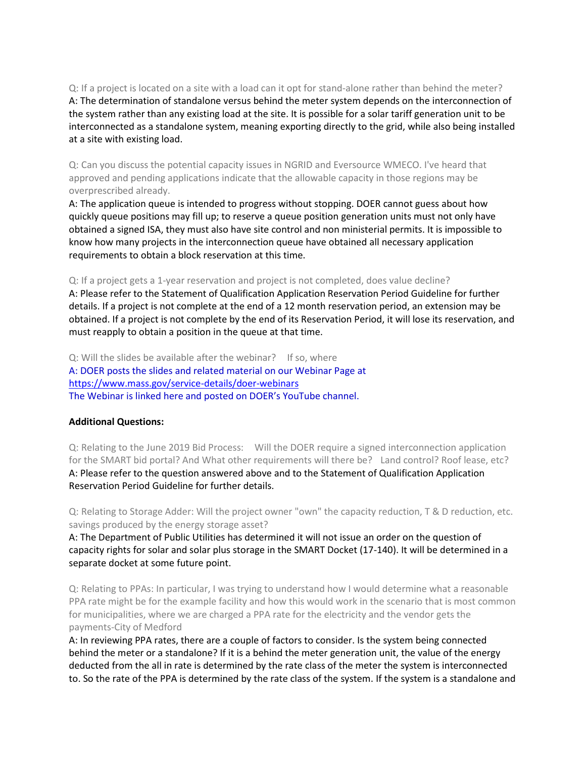Q: If a project is located on a site with a load can it opt for stand-alone rather than behind the meter? A: The determination of standalone versus behind the meter system depends on the interconnection of the system rather than any existing load at the site. It is possible for a solar tariff generation unit to be interconnected as a standalone system, meaning exporting directly to the grid, while also being installed at a site with existing load.

Q: Can you discuss the potential capacity issues in NGRID and Eversource WMECO. I've heard that approved and pending applications indicate that the allowable capacity in those regions may be overprescribed already.

A: The application queue is intended to progress without stopping. DOER cannot guess about how quickly queue positions may fill up; to reserve a queue position generation units must not only have obtained a signed ISA, they must also have site control and non ministerial permits. It is impossible to know how many projects in the interconnection queue have obtained all necessary application requirements to obtain a block reservation at this time.

Q: If a project gets a 1-year reservation and project is not completed, does value decline?

A: Please refer to the Statement of Qualification Application Reservation Period Guideline for further details. If a project is not complete at the end of a 12 month reservation period, an extension may be obtained. If a project is not complete by the end of its Reservation Period, it will lose its reservation, and must reapply to obtain a position in the queue at that time.

Q: Will the slides be available after the webinar? If so, where A: DOER posts the slides and related material on our Webinar Page at <https://www.mass.gov/service-details/doer-webinars> The Webinar is linked here and posted on DOER's YouTube channel.

# **Additional Questions:**

Q: Relating to the June 2019 Bid Process: Will the DOER require a signed interconnection application for the SMART bid portal? And What other requirements will there be? Land control? Roof lease, etc? A: Please refer to the question answered above and to the Statement of Qualification Application Reservation Period Guideline for further details.

Q: Relating to Storage Adder: Will the project owner "own" the capacity reduction, T & D reduction, etc. savings produced by the energy storage asset?

A: The Department of Public Utilities has determined it will not issue an order on the question of capacity rights for solar and solar plus storage in the SMART Docket (17-140). It will be determined in a separate docket at some future point.

Q: Relating to PPAs: In particular, I was trying to understand how I would determine what a reasonable PPA rate might be for the example facility and how this would work in the scenario that is most common for municipalities, where we are charged a PPA rate for the electricity and the vendor gets the payments-City of Medford

A: In reviewing PPA rates, there are a couple of factors to consider. Is the system being connected behind the meter or a standalone? If it is a behind the meter generation unit, the value of the energy deducted from the all in rate is determined by the rate class of the meter the system is interconnected to. So the rate of the PPA is determined by the rate class of the system. If the system is a standalone and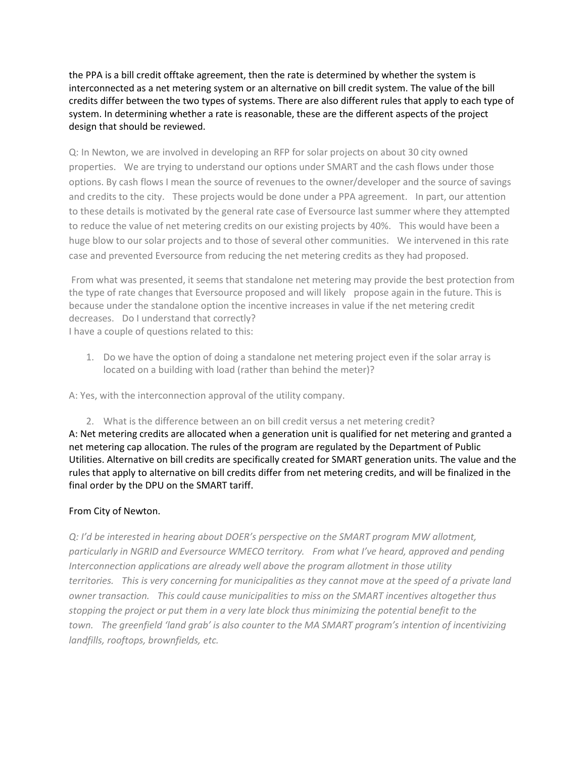the PPA is a bill credit offtake agreement, then the rate is determined by whether the system is interconnected as a net metering system or an alternative on bill credit system. The value of the bill credits differ between the two types of systems. There are also different rules that apply to each type of system. In determining whether a rate is reasonable, these are the different aspects of the project design that should be reviewed.

Q: In Newton, we are involved in developing an RFP for solar projects on about 30 city owned properties. We are trying to understand our options under SMART and the cash flows under those options. By cash flows I mean the source of revenues to the owner/developer and the source of savings and credits to the city. These projects would be done under a PPA agreement. In part, our attention to these details is motivated by the general rate case of Eversource last summer where they attempted to reduce the value of net metering credits on our existing projects by 40%. This would have been a huge blow to our solar projects and to those of several other communities. We intervened in this rate case and prevented Eversource from reducing the net metering credits as they had proposed.

From what was presented, it seems that standalone net metering may provide the best protection from the type of rate changes that Eversource proposed and will likely propose again in the future. This is because under the standalone option the incentive increases in value if the net metering credit decreases. Do I understand that correctly? I have a couple of questions related to this:

1. Do we have the option of doing a standalone net metering project even if the solar array is located on a building with load (rather than behind the meter)?

A: Yes, with the interconnection approval of the utility company.

2. What is the difference between an on bill credit versus a net metering credit? A: Net metering credits are allocated when a generation unit is qualified for net metering and granted a net metering cap allocation. The rules of the program are regulated by the Department of Public Utilities. Alternative on bill credits are specifically created for SMART generation units. The value and the rules that apply to alternative on bill credits differ from net metering credits, and will be finalized in the final order by the DPU on the SMART tariff.

# From City of Newton.

*Q: I'd be interested in hearing about DOER's perspective on the SMART program MW allotment, particularly in NGRID and Eversource WMECO territory. From what I've heard, approved and pending Interconnection applications are already well above the program allotment in those utility territories. This is very concerning for municipalities as they cannot move at the speed of a private land owner transaction. This could cause municipalities to miss on the SMART incentives altogether thus stopping the project or put them in a very late block thus minimizing the potential benefit to the town. The greenfield 'land grab' is also counter to the MA SMART program's intention of incentivizing landfills, rooftops, brownfields, etc.*